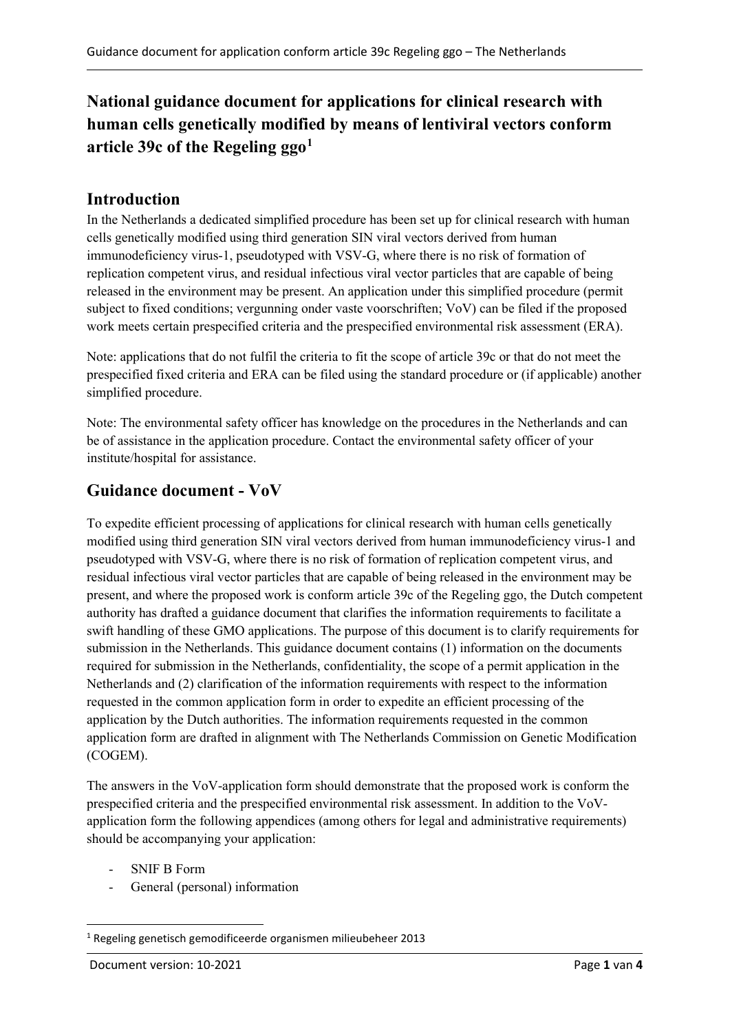# **National guidance document for applications for clinical research with human cells genetically modified by means of lentiviral vectors conform article 39c of the Regeling ggo[1](#page-0-0)**

### **Introduction**

In the Netherlands a dedicated simplified procedure has been set up for clinical research with human cells genetically modified using third generation SIN viral vectors derived from human immunodeficiency virus-1, pseudotyped with VSV-G, where there is no risk of formation of replication competent virus, and residual infectious viral vector particles that are capable of being released in the environment may be present. An application under this simplified procedure (permit subject to fixed conditions; vergunning onder vaste voorschriften; VoV) can be filed if the proposed work meets certain prespecified criteria and the prespecified environmental risk assessment (ERA).

Note: applications that do not fulfil the criteria to fit the scope of article 39c or that do not meet the prespecified fixed criteria and ERA can be filed using the standard procedure or (if applicable) another simplified procedure.

Note: The environmental safety officer has knowledge on the procedures in the Netherlands and can be of assistance in the application procedure. Contact the environmental safety officer of your institute/hospital for assistance.

#### **Guidance document - VoV**

To expedite efficient processing of applications for clinical research with human cells genetically modified using third generation SIN viral vectors derived from human immunodeficiency virus-1 and pseudotyped with VSV-G, where there is no risk of formation of replication competent virus, and residual infectious viral vector particles that are capable of being released in the environment may be present, and where the proposed work is conform article 39c of the Regeling ggo, the Dutch competent authority has drafted a guidance document that clarifies the information requirements to facilitate a swift handling of these GMO applications. The purpose of this document is to clarify requirements for submission in the Netherlands. This guidance document contains (1) information on the documents required for submission in the Netherlands, confidentiality, the scope of a permit application in the Netherlands and (2) clarification of the information requirements with respect to the information requested in the common application form in order to expedite an efficient processing of the application by the Dutch authorities. The information requirements requested in the common application form are drafted in alignment with The Netherlands Commission on Genetic Modification (COGEM).

The answers in the VoV-application form should demonstrate that the proposed work is conform the prespecified criteria and the prespecified environmental risk assessment. In addition to the VoVapplication form the following appendices (among others for legal and administrative requirements) should be accompanying your application:

- SNIF B Form
- General (personal) information

<span id="page-0-0"></span><sup>1</sup> Regeling genetisch gemodificeerde organismen milieubeheer 2013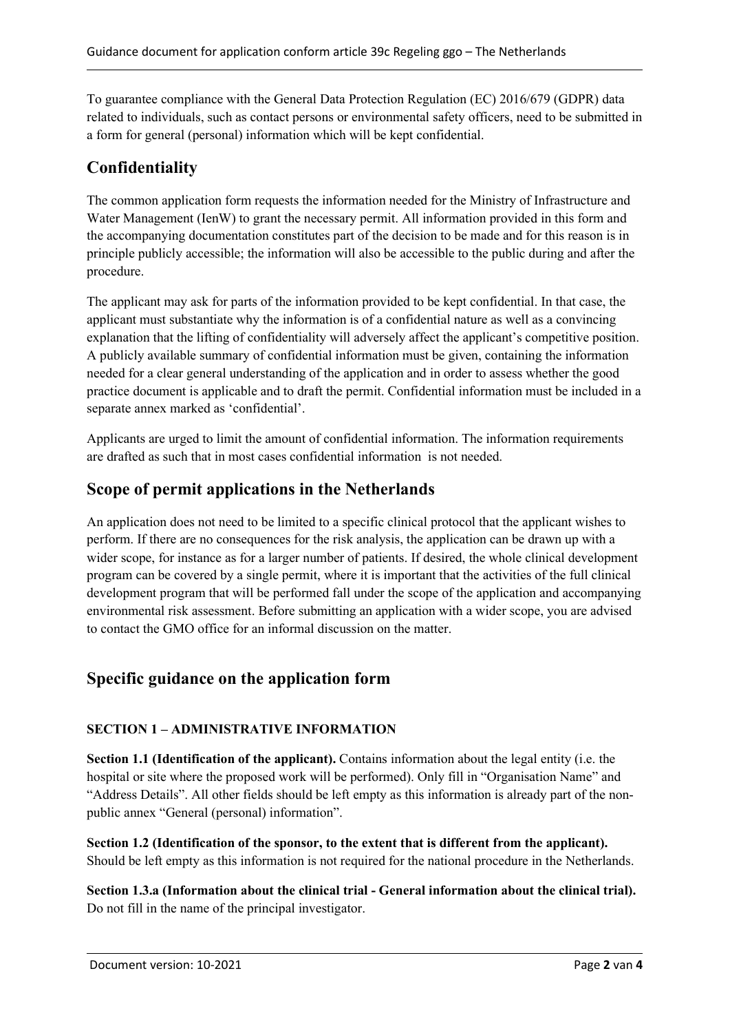To guarantee compliance with the General Data Protection Regulation (EC) 2016/679 (GDPR) data related to individuals, such as contact persons or environmental safety officers, need to be submitted in a form for general (personal) information which will be kept confidential.

# **Confidentiality**

The common application form requests the information needed for the Ministry of Infrastructure and Water Management (IenW) to grant the necessary permit. All information provided in this form and the accompanying documentation constitutes part of the decision to be made and for this reason is in principle publicly accessible; the information will also be accessible to the public during and after the procedure.

The applicant may ask for parts of the information provided to be kept confidential. In that case, the applicant must substantiate why the information is of a confidential nature as well as a convincing explanation that the lifting of confidentiality will adversely affect the applicant's competitive position. A publicly available summary of confidential information must be given, containing the information needed for a clear general understanding of the application and in order to assess whether the good practice document is applicable and to draft the permit. Confidential information must be included in a separate annex marked as 'confidential'.

Applicants are urged to limit the amount of confidential information. The information requirements are drafted as such that in most cases confidential information is not needed.

### **Scope of permit applications in the Netherlands**

An application does not need to be limited to a specific clinical protocol that the applicant wishes to perform. If there are no consequences for the risk analysis, the application can be drawn up with a wider scope, for instance as for a larger number of patients. If desired, the whole clinical development program can be covered by a single permit, where it is important that the activities of the full clinical development program that will be performed fall under the scope of the application and accompanying environmental risk assessment. Before submitting an application with a wider scope, you are advised to contact the GMO office for an informal discussion on the matter.

# **Specific guidance on the application form**

#### **SECTION 1 – ADMINISTRATIVE INFORMATION**

**Section 1.1 (Identification of the applicant).** Contains information about the legal entity (i.e. the hospital or site where the proposed work will be performed). Only fill in "Organisation Name" and "Address Details". All other fields should be left empty as this information is already part of the nonpublic annex "General (personal) information".

**Section 1.2 (Identification of the sponsor, to the extent that is different from the applicant).** Should be left empty as this information is not required for the national procedure in the Netherlands.

**Section 1.3.a (Information about the clinical trial - General information about the clinical trial).**  Do not fill in the name of the principal investigator.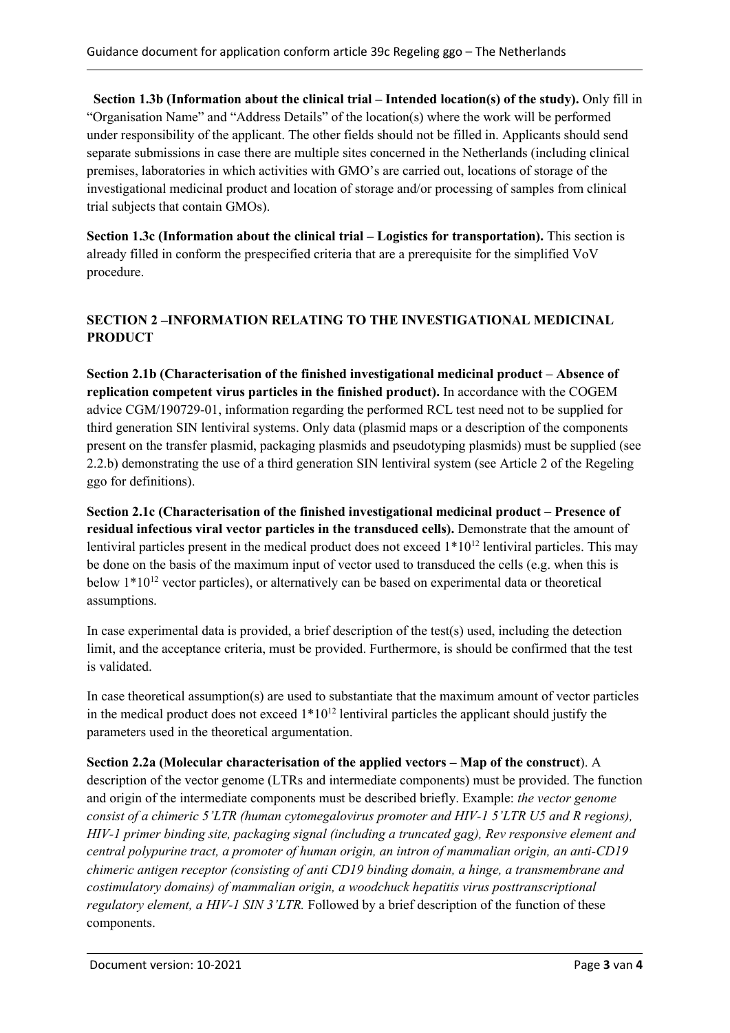**Section 1.3b (Information about the clinical trial – Intended location(s) of the study).** Only fill in "Organisation Name" and "Address Details" of the location(s) where the work will be performed under responsibility of the applicant. The other fields should not be filled in. Applicants should send separate submissions in case there are multiple sites concerned in the Netherlands (including clinical premises, laboratories in which activities with GMO's are carried out, locations of storage of the investigational medicinal product and location of storage and/or processing of samples from clinical trial subjects that contain GMOs).

**Section 1.3c (Information about the clinical trial – Logistics for transportation).** This section is already filled in conform the prespecified criteria that are a prerequisite for the simplified VoV procedure.

#### **SECTION 2 –INFORMATION RELATING TO THE INVESTIGATIONAL MEDICINAL PRODUCT**

**Section 2.1b (Characterisation of the finished investigational medicinal product – Absence of replication competent virus particles in the finished product).** In accordance with the COGEM advice CGM/190729-01, information regarding the performed RCL test need not to be supplied for third generation SIN lentiviral systems. Only data (plasmid maps or a description of the components present on the transfer plasmid, packaging plasmids and pseudotyping plasmids) must be supplied (see 2.2.b) demonstrating the use of a third generation SIN lentiviral system (see Article 2 of the Regeling ggo for definitions).

**Section 2.1c (Characterisation of the finished investigational medicinal product – Presence of residual infectious viral vector particles in the transduced cells).** Demonstrate that the amount of lentiviral particles present in the medical product does not exceed  $1*10^{12}$  lentiviral particles. This may be done on the basis of the maximum input of vector used to transduced the cells (e.g. when this is below  $1*10^{12}$  vector particles), or alternatively can be based on experimental data or theoretical assumptions.

In case experimental data is provided, a brief description of the test(s) used, including the detection limit, and the acceptance criteria, must be provided. Furthermore, is should be confirmed that the test is validated.

In case theoretical assumption(s) are used to substantiate that the maximum amount of vector particles in the medical product does not exceed  $1*10^{12}$  lentiviral particles the applicant should justify the parameters used in the theoretical argumentation.

**Section 2.2a (Molecular characterisation of the applied vectors – Map of the construct**). A description of the vector genome (LTRs and intermediate components) must be provided. The function and origin of the intermediate components must be described briefly. Example: *the vector genome consist of a chimeric 5'LTR (human cytomegalovirus promoter and HIV-1 5'LTR U5 and R regions), HIV-1 primer binding site, packaging signal (including a truncated gag), Rev responsive element and central polypurine tract, a promoter of human origin, an intron of mammalian origin, an anti-CD19 chimeric antigen receptor (consisting of anti CD19 binding domain, a hinge, a transmembrane and costimulatory domains) of mammalian origin, a woodchuck hepatitis virus posttranscriptional regulatory element, a HIV-1 SIN 3'LTR.* Followed by a brief description of the function of these components.